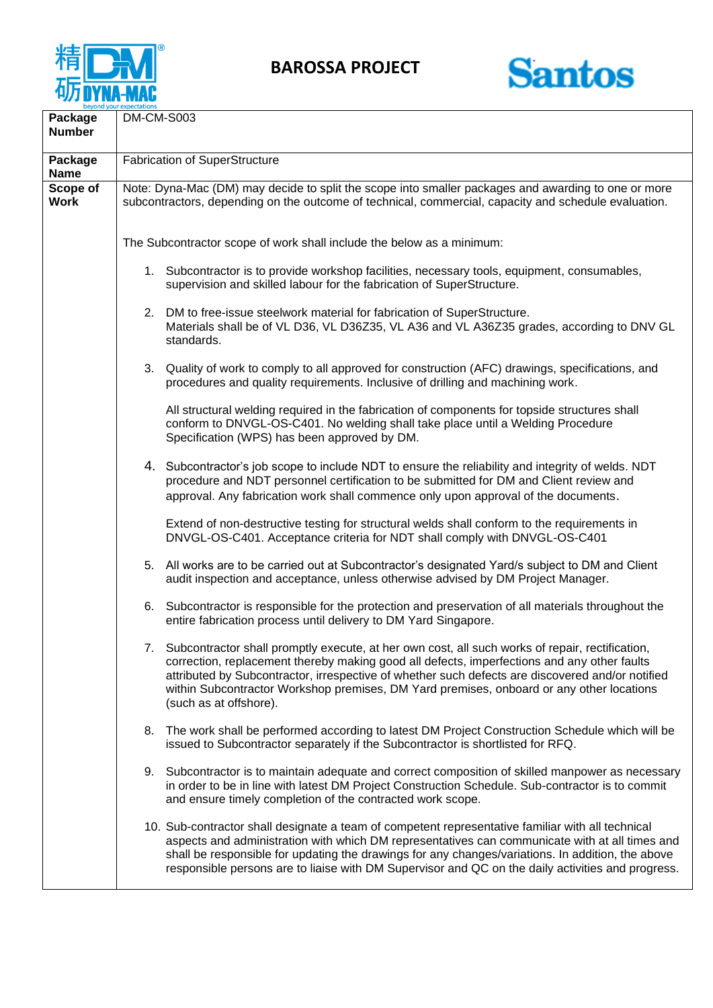

**BAROSSA PROJECT**



| Package<br><b>Number</b> | DM-CM-S003                                                                                                                                                                                                  |                                                                                                                                                                                                                                                                                                                                                                                                                          |
|--------------------------|-------------------------------------------------------------------------------------------------------------------------------------------------------------------------------------------------------------|--------------------------------------------------------------------------------------------------------------------------------------------------------------------------------------------------------------------------------------------------------------------------------------------------------------------------------------------------------------------------------------------------------------------------|
| Package<br><b>Name</b>   | <b>Fabrication of SuperStructure</b>                                                                                                                                                                        |                                                                                                                                                                                                                                                                                                                                                                                                                          |
| Scope of<br><b>Work</b>  | Note: Dyna-Mac (DM) may decide to split the scope into smaller packages and awarding to one or more<br>subcontractors, depending on the outcome of technical, commercial, capacity and schedule evaluation. |                                                                                                                                                                                                                                                                                                                                                                                                                          |
|                          | The Subcontractor scope of work shall include the below as a minimum:                                                                                                                                       |                                                                                                                                                                                                                                                                                                                                                                                                                          |
|                          |                                                                                                                                                                                                             | 1. Subcontractor is to provide workshop facilities, necessary tools, equipment, consumables,<br>supervision and skilled labour for the fabrication of SuperStructure.                                                                                                                                                                                                                                                    |
|                          |                                                                                                                                                                                                             | 2. DM to free-issue steelwork material for fabrication of SuperStructure.<br>Materials shall be of VL D36, VL D36Z35, VL A36 and VL A36Z35 grades, according to DNV GL<br>standards.                                                                                                                                                                                                                                     |
|                          |                                                                                                                                                                                                             | 3. Quality of work to comply to all approved for construction (AFC) drawings, specifications, and<br>procedures and quality requirements. Inclusive of drilling and machining work.                                                                                                                                                                                                                                      |
|                          |                                                                                                                                                                                                             | All structural welding required in the fabrication of components for topside structures shall<br>conform to DNVGL-OS-C401. No welding shall take place until a Welding Procedure<br>Specification (WPS) has been approved by DM.                                                                                                                                                                                         |
|                          |                                                                                                                                                                                                             | 4. Subcontractor's job scope to include NDT to ensure the reliability and integrity of welds. NDT<br>procedure and NDT personnel certification to be submitted for DM and Client review and<br>approval. Any fabrication work shall commence only upon approval of the documents.                                                                                                                                        |
|                          |                                                                                                                                                                                                             | Extend of non-destructive testing for structural welds shall conform to the requirements in<br>DNVGL-OS-C401. Acceptance criteria for NDT shall comply with DNVGL-OS-C401                                                                                                                                                                                                                                                |
|                          |                                                                                                                                                                                                             | 5. All works are to be carried out at Subcontractor's designated Yard/s subject to DM and Client<br>audit inspection and acceptance, unless otherwise advised by DM Project Manager.                                                                                                                                                                                                                                     |
|                          | 6.                                                                                                                                                                                                          | Subcontractor is responsible for the protection and preservation of all materials throughout the<br>entire fabrication process until delivery to DM Yard Singapore.                                                                                                                                                                                                                                                      |
|                          | 7.                                                                                                                                                                                                          | Subcontractor shall promptly execute, at her own cost, all such works of repair, rectification,<br>correction, replacement thereby making good all defects, imperfections and any other faults<br>attributed by Subcontractor, irrespective of whether such defects are discovered and/or notified<br>within Subcontractor Workshop premises, DM Yard premises, onboard or any other locations<br>(such as at offshore). |
|                          | 8.                                                                                                                                                                                                          | The work shall be performed according to latest DM Project Construction Schedule which will be<br>issued to Subcontractor separately if the Subcontractor is shortlisted for RFQ.                                                                                                                                                                                                                                        |
|                          | 9.                                                                                                                                                                                                          | Subcontractor is to maintain adequate and correct composition of skilled manpower as necessary<br>in order to be in line with latest DM Project Construction Schedule. Sub-contractor is to commit<br>and ensure timely completion of the contracted work scope.                                                                                                                                                         |
|                          |                                                                                                                                                                                                             | 10. Sub-contractor shall designate a team of competent representative familiar with all technical<br>aspects and administration with which DM representatives can communicate with at all times and<br>shall be responsible for updating the drawings for any changes/variations. In addition, the above<br>responsible persons are to liaise with DM Supervisor and QC on the daily activities and progress.            |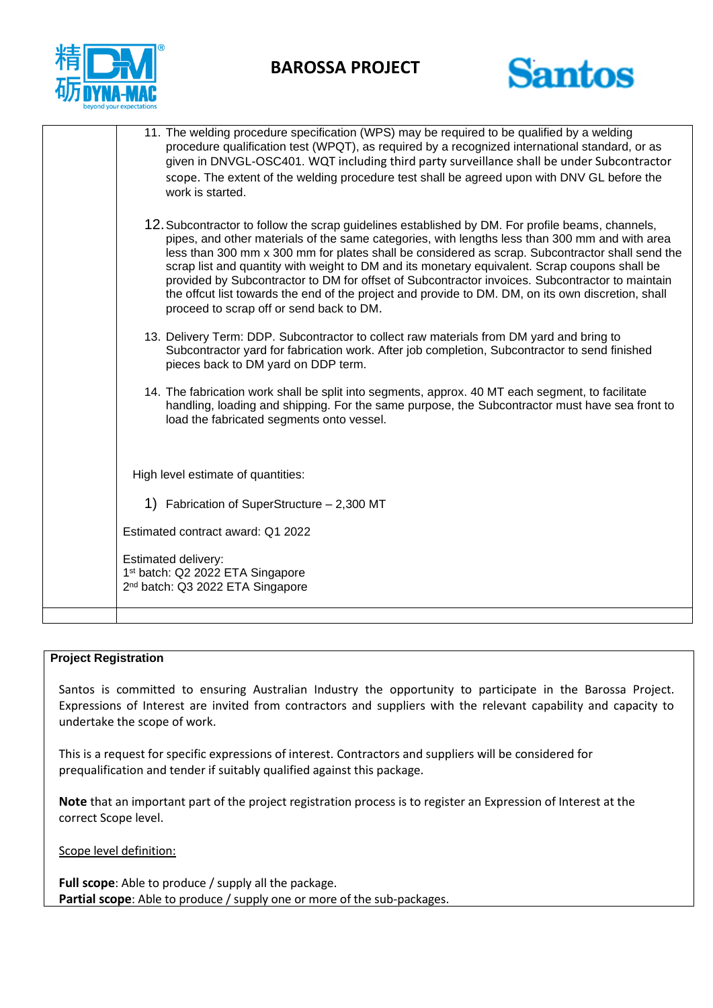

## **BAROSSA PROJECT**



| 11. The welding procedure specification (WPS) may be required to be qualified by a welding<br>procedure qualification test (WPQT), as required by a recognized international standard, or as<br>given in DNVGL-OSC401. WQT including third party surveillance shall be under Subcontractor<br>scope. The extent of the welding procedure test shall be agreed upon with DNV GL before the<br>work is started.                                                                                                                                                                                                                                               |  |  |
|-------------------------------------------------------------------------------------------------------------------------------------------------------------------------------------------------------------------------------------------------------------------------------------------------------------------------------------------------------------------------------------------------------------------------------------------------------------------------------------------------------------------------------------------------------------------------------------------------------------------------------------------------------------|--|--|
| 12. Subcontractor to follow the scrap guidelines established by DM. For profile beams, channels,<br>pipes, and other materials of the same categories, with lengths less than 300 mm and with area<br>less than 300 mm x 300 mm for plates shall be considered as scrap. Subcontractor shall send the<br>scrap list and quantity with weight to DM and its monetary equivalent. Scrap coupons shall be<br>provided by Subcontractor to DM for offset of Subcontractor invoices. Subcontractor to maintain<br>the offcut list towards the end of the project and provide to DM. DM, on its own discretion, shall<br>proceed to scrap off or send back to DM. |  |  |
| 13. Delivery Term: DDP. Subcontractor to collect raw materials from DM yard and bring to<br>Subcontractor yard for fabrication work. After job completion, Subcontractor to send finished<br>pieces back to DM yard on DDP term.                                                                                                                                                                                                                                                                                                                                                                                                                            |  |  |
| 14. The fabrication work shall be split into segments, approx. 40 MT each segment, to facilitate<br>handling, loading and shipping. For the same purpose, the Subcontractor must have sea front to<br>load the fabricated segments onto vessel.                                                                                                                                                                                                                                                                                                                                                                                                             |  |  |
| High level estimate of quantities:                                                                                                                                                                                                                                                                                                                                                                                                                                                                                                                                                                                                                          |  |  |
| 1) Fabrication of SuperStructure - 2,300 MT                                                                                                                                                                                                                                                                                                                                                                                                                                                                                                                                                                                                                 |  |  |
| Estimated contract award: Q1 2022                                                                                                                                                                                                                                                                                                                                                                                                                                                                                                                                                                                                                           |  |  |
| <b>Estimated delivery:</b><br>1 <sup>st</sup> batch: Q2 2022 ETA Singapore<br>2 <sup>nd</sup> batch: Q3 2022 ETA Singapore                                                                                                                                                                                                                                                                                                                                                                                                                                                                                                                                  |  |  |
|                                                                                                                                                                                                                                                                                                                                                                                                                                                                                                                                                                                                                                                             |  |  |

## **Project Registration**

Santos is committed to ensuring Australian Industry the opportunity to participate in the Barossa Project. Expressions of Interest are invited from contractors and suppliers with the relevant capability and capacity to undertake the scope of work.

This is a request for specific expressions of interest. Contractors and suppliers will be considered for prequalification and tender if suitably qualified against this package.

**Note** that an important part of the project registration process is to register an Expression of Interest at the correct Scope level.

Scope level definition:

**Full scope**: Able to produce / supply all the package. **Partial scope**: Able to produce / supply one or more of the sub-packages.